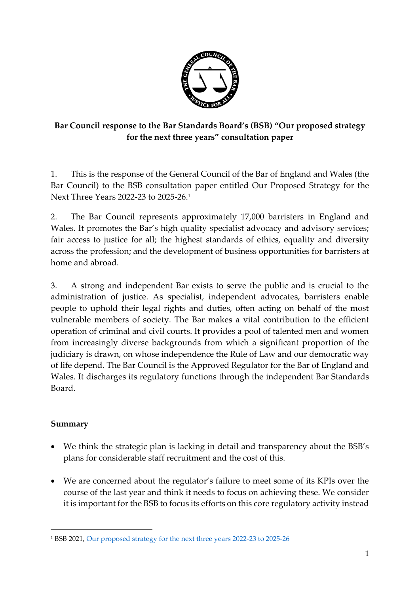

# **Bar Council response to the Bar Standards Board's (BSB) "Our proposed strategy for the next three years" consultation paper**

1. This is the response of the General Council of the Bar of England and Wales (the Bar Council) to the BSB consultation paper entitled Our Proposed Strategy for the Next Three Years 2022-23 to 2025-26. 1

2. The Bar Council represents approximately 17,000 barristers in England and Wales. It promotes the Bar's high quality specialist advocacy and advisory services; fair access to justice for all; the highest standards of ethics, equality and diversity across the profession; and the development of business opportunities for barristers at home and abroad.

3. A strong and independent Bar exists to serve the public and is crucial to the administration of justice. As specialist, independent advocates, barristers enable people to uphold their legal rights and duties, often acting on behalf of the most vulnerable members of society. The Bar makes a vital contribution to the efficient operation of criminal and civil courts. It provides a pool of talented men and women from increasingly diverse backgrounds from which a significant proportion of the judiciary is drawn, on whose independence the Rule of Law and our democratic way of life depend. The Bar Council is the Approved Regulator for the Bar of England and Wales. It discharges its regulatory functions through the independent Bar Standards Board.

## **Summary**

- We think the strategic plan is lacking in detail and transparency about the BSB's plans for considerable staff recruitment and the cost of this.
- We are concerned about the regulator's failure to meet some of its KPIs over the course of the last year and think it needs to focus on achieving these. We consider it is important for the BSB to focus its efforts on this core regulatory activity instead

<sup>1</sup> BSB 2021[, Our proposed strategy for the next three years 2022-23 to 2025-26](https://www.barstandardsboard.org.uk/uploads/assets/be75433d-8d46-4c27-b578cd490f49a95c/BSB-Strategy-consultation-Oct2021.pdf)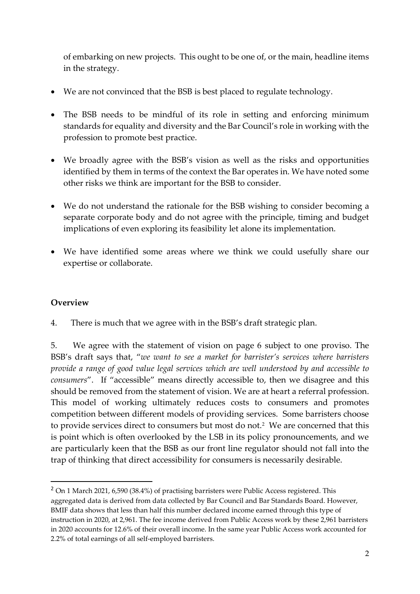of embarking on new projects. This ought to be one of, or the main, headline items in the strategy.

- We are not convinced that the BSB is best placed to regulate technology.
- The BSB needs to be mindful of its role in setting and enforcing minimum standards for equality and diversity and the Bar Council's role in working with the profession to promote best practice.
- We broadly agree with the BSB's vision as well as the risks and opportunities identified by them in terms of the context the Bar operates in. We have noted some other risks we think are important for the BSB to consider.
- We do not understand the rationale for the BSB wishing to consider becoming a separate corporate body and do not agree with the principle, timing and budget implications of even exploring its feasibility let alone its implementation.
- We have identified some areas where we think we could usefully share our expertise or collaborate.

## **Overview**

4. There is much that we agree with in the BSB's draft strategic plan.

5. We agree with the statement of vision on page 6 subject to one proviso. The BSB's draft says that, "*we want to see a market for barrister's services where barristers provide a range of good value legal services which are well understood by and accessible to consumers*". If "accessible" means directly accessible to, then we disagree and this should be removed from the statement of vision. We are at heart a referral profession. This model of working ultimately reduces costs to consumers and promotes competition between different models of providing services. Some barristers choose to provide services direct to consumers but most do not. $2$  We are concerned that this is point which is often overlooked by the LSB in its policy pronouncements, and we are particularly keen that the BSB as our front line regulator should not fall into the trap of thinking that direct accessibility for consumers is necessarily desirable.

<sup>&</sup>lt;sup>2</sup> On 1 March 2021, 6,590 (38.4%) of practising barristers were Public Access registered. This aggregated data is derived from data collected by Bar Council and Bar Standards Board. However, BMIF data shows that less than half this number declared income earned through this type of instruction in 2020, at 2,961. The fee income derived from Public Access work by these 2,961 barristers in 2020 accounts for 12.6% of their overall income. In the same year Public Access work accounted for 2.2% of total earnings of all self-employed barristers.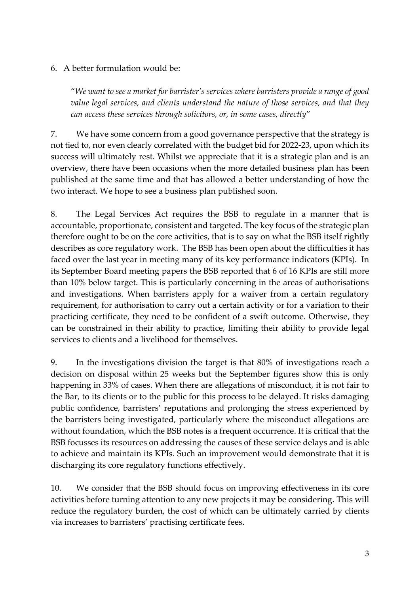#### 6. A better formulation would be:

"*We want to see a market for barrister's services where barristers provide a range of good value legal services, and clients understand the nature of those services, and that they can access these services through solicitors, or, in some cases, directly*"

7. We have some concern from a good governance perspective that the strategy is not tied to, nor even clearly correlated with the budget bid for 2022-23, upon which its success will ultimately rest. Whilst we appreciate that it is a strategic plan and is an overview, there have been occasions when the more detailed business plan has been published at the same time and that has allowed a better understanding of how the two interact. We hope to see a business plan published soon.

8. The Legal Services Act requires the BSB to regulate in a manner that is accountable, proportionate, consistent and targeted. The key focus of the strategic plan therefore ought to be on the core activities, that is to say on what the BSB itself rightly describes as core regulatory work. The BSB has been open about the difficulties it has faced over the last year in meeting many of its key performance indicators (KPIs). In its September Board meeting papers the BSB reported that 6 of 16 KPIs are still more than 10% below target. This is particularly concerning in the areas of authorisations and investigations. When barristers apply for a waiver from a certain regulatory requirement, for authorisation to carry out a certain activity or for a variation to their practicing certificate, they need to be confident of a swift outcome. Otherwise, they can be constrained in their ability to practice, limiting their ability to provide legal services to clients and a livelihood for themselves.

9. In the investigations division the target is that 80% of investigations reach a decision on disposal within 25 weeks but the September figures show this is only happening in 33% of cases. When there are allegations of misconduct, it is not fair to the Bar, to its clients or to the public for this process to be delayed. It risks damaging public confidence, barristers' reputations and prolonging the stress experienced by the barristers being investigated, particularly where the misconduct allegations are without foundation, which the BSB notes is a frequent occurrence. It is critical that the BSB focusses its resources on addressing the causes of these service delays and is able to achieve and maintain its KPIs. Such an improvement would demonstrate that it is discharging its core regulatory functions effectively.

10. We consider that the BSB should focus on improving effectiveness in its core activities before turning attention to any new projects it may be considering. This will reduce the regulatory burden, the cost of which can be ultimately carried by clients via increases to barristers' practising certificate fees.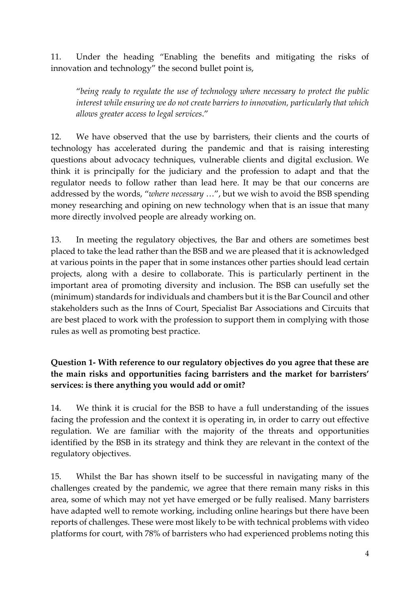11. Under the heading "Enabling the benefits and mitigating the risks of innovation and technology" the second bullet point is,

"*being ready to regulate the use of technology where necessary to protect the public interest while ensuring we do not create barriers to innovation, particularly that which allows greater access to legal services*."

12. We have observed that the use by barristers, their clients and the courts of technology has accelerated during the pandemic and that is raising interesting questions about advocacy techniques, vulnerable clients and digital exclusion. We think it is principally for the judiciary and the profession to adapt and that the regulator needs to follow rather than lead here. It may be that our concerns are addressed by the words, "*where necessary* …", but we wish to avoid the BSB spending money researching and opining on new technology when that is an issue that many more directly involved people are already working on.

13. In meeting the regulatory objectives, the Bar and others are sometimes best placed to take the lead rather than the BSB and we are pleased that it is acknowledged at various points in the paper that in some instances other parties should lead certain projects, along with a desire to collaborate. This is particularly pertinent in the important area of promoting diversity and inclusion. The BSB can usefully set the (minimum) standards for individuals and chambers but it is the Bar Council and other stakeholders such as the Inns of Court, Specialist Bar Associations and Circuits that are best placed to work with the profession to support them in complying with those rules as well as promoting best practice.

# **Question 1- With reference to our regulatory objectives do you agree that these are the main risks and opportunities facing barristers and the market for barristers' services: is there anything you would add or omit?**

14. We think it is crucial for the BSB to have a full understanding of the issues facing the profession and the context it is operating in, in order to carry out effective regulation. We are familiar with the majority of the threats and opportunities identified by the BSB in its strategy and think they are relevant in the context of the regulatory objectives.

15. Whilst the Bar has shown itself to be successful in navigating many of the challenges created by the pandemic, we agree that there remain many risks in this area, some of which may not yet have emerged or be fully realised. Many barristers have adapted well to remote working, including online hearings but there have been reports of challenges. These were most likely to be with technical problems with video platforms for court, with 78% of barristers who had experienced problems noting this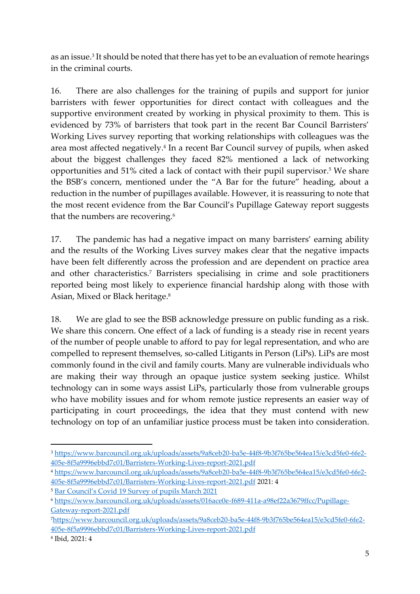as an issue.<sup>3</sup> It should be noted that there has yet to be an evaluation of remote hearings in the criminal courts.

16. There are also challenges for the training of pupils and support for junior barristers with fewer opportunities for direct contact with colleagues and the supportive environment created by working in physical proximity to them. This is evidenced by 73% of barristers that took part in the recent Bar Council Barristers' Working Lives survey reporting that working relationships with colleagues was the area most affected negatively.<sup>4</sup> In a recent Bar Council survey of pupils, when asked about the biggest challenges they faced 82% mentioned a lack of networking opportunities and 51% cited a lack of contact with their pupil supervisor.<sup>5</sup> We share the BSB's concern, mentioned under the "A Bar for the future" heading, about a reduction in the number of pupillages available. However, it is reassuring to note that the most recent evidence from the Bar Council's Pupillage Gateway report suggests that the numbers are recovering.<sup>6</sup>

17. The pandemic has had a negative impact on many barristers' earning ability and the results of the Working Lives survey makes clear that the negative impacts have been felt differently across the profession and are dependent on practice area and other characteristics. <sup>7</sup> Barristers specialising in crime and sole practitioners reported being most likely to experience financial hardship along with those with Asian, Mixed or Black heritage. 8

18. We are glad to see the BSB acknowledge pressure on public funding as a risk. We share this concern. One effect of a lack of funding is a steady rise in recent years of the number of people unable to afford to pay for legal representation, and who are compelled to represent themselves, so-called Litigants in Person (LiPs). LiPs are most commonly found in the civil and family courts. Many are vulnerable individuals who are making their way through an opaque justice system seeking justice. Whilst technology can in some ways assist LiPs, particularly those from vulnerable groups who have mobility issues and for whom remote justice represents an easier way of participating in court proceedings, the idea that they must contend with new technology on top of an unfamiliar justice process must be taken into consideration.

<sup>3</sup> [https://www.barcouncil.org.uk/uploads/assets/9a8ceb20-ba5e-44f8-9b3f765be564ea15/e3cd5fe0-6fe2-](https://www.barcouncil.org.uk/uploads/assets/9a8ceb20-ba5e-44f8-9b3f765be564ea15/e3cd5fe0-6fe2-405e-8f5a9996ebbd7c01/Barristers-Working-Lives-report-2021.pdf) [405e-8f5a9996ebbd7c01/Barristers-Working-Lives-report-2021.pdf](https://www.barcouncil.org.uk/uploads/assets/9a8ceb20-ba5e-44f8-9b3f765be564ea15/e3cd5fe0-6fe2-405e-8f5a9996ebbd7c01/Barristers-Working-Lives-report-2021.pdf)

<sup>4</sup> [https://www.barcouncil.org.uk/uploads/assets/9a8ceb20-ba5e-44f8-9b3f765be564ea15/e3cd5fe0-6fe2-](https://www.barcouncil.org.uk/uploads/assets/9a8ceb20-ba5e-44f8-9b3f765be564ea15/e3cd5fe0-6fe2-405e-8f5a9996ebbd7c01/Barristers-Working-Lives-report-2021.pdf) [405e-8f5a9996ebbd7c01/Barristers-Working-Lives-report-2021.pdf](https://www.barcouncil.org.uk/uploads/assets/9a8ceb20-ba5e-44f8-9b3f765be564ea15/e3cd5fe0-6fe2-405e-8f5a9996ebbd7c01/Barristers-Working-Lives-report-2021.pdf) 2021: 4

<sup>5</sup> [Bar Council's Covid 19 Survey of pupils March 2021](https://www.barcouncil.org.uk/uploads/assets/047f34eb-e7ee-42f7-9c36b372fefb6411/Bar-Council-Pupil-Survey-Summary-Findings-2021.pdf)

<sup>6</sup> [https://www.barcouncil.org.uk/uploads/assets/016ace0e-f689-411a-a98ef22a3679ffcc/Pupillage-](https://www.barcouncil.org.uk/uploads/assets/016ace0e-f689-411a-a98ef22a3679ffcc/Pupillage-Gateway-report-2021.pdf)[Gateway-report-2021.pdf](https://www.barcouncil.org.uk/uploads/assets/016ace0e-f689-411a-a98ef22a3679ffcc/Pupillage-Gateway-report-2021.pdf)

<sup>7</sup>[https://www.barcouncil.org.uk/uploads/assets/9a8ceb20-ba5e-44f8-9b3f765be564ea15/e3cd5fe0-6fe2-](https://www.barcouncil.org.uk/uploads/assets/9a8ceb20-ba5e-44f8-9b3f765be564ea15/e3cd5fe0-6fe2-405e-8f5a9996ebbd7c01/Barristers-Working-Lives-report-2021.pdf) [405e-8f5a9996ebbd7c01/Barristers-Working-Lives-report-2021.pdf](https://www.barcouncil.org.uk/uploads/assets/9a8ceb20-ba5e-44f8-9b3f765be564ea15/e3cd5fe0-6fe2-405e-8f5a9996ebbd7c01/Barristers-Working-Lives-report-2021.pdf)

<sup>8</sup> Ibid, 2021: 4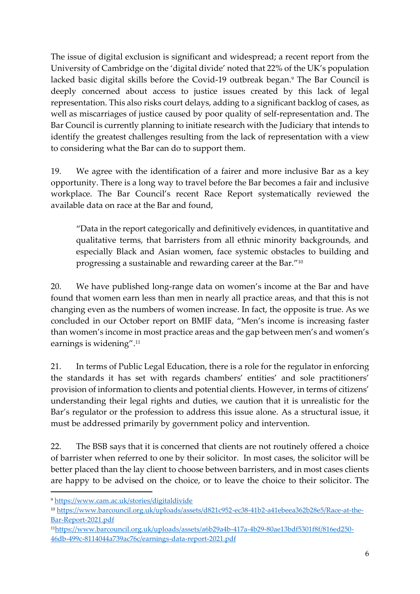The issue of digital exclusion is significant and widespread; a recent report from the University of Cambridge on the 'digital divide' noted that 22% of the UK's population lacked basic digital skills before the Covid-19 outbreak began.<sup>9</sup> The Bar Council is deeply concerned about access to justice issues created by this lack of legal representation. This also risks court delays, adding to a significant backlog of cases, as well as miscarriages of justice caused by poor quality of self-representation and. The Bar Council is currently planning to initiate research with the Judiciary that intends to identify the greatest challenges resulting from the lack of representation with a view to considering what the Bar can do to support them.

19. We agree with the identification of a fairer and more inclusive Bar as a key opportunity. There is a long way to travel before the Bar becomes a fair and inclusive workplace. The Bar Council's recent Race Report systematically reviewed the available data on race at the Bar and found,

"Data in the report categorically and definitively evidences, in quantitative and qualitative terms, that barristers from all ethnic minority backgrounds, and especially Black and Asian women, face systemic obstacles to building and progressing a sustainable and rewarding career at the Bar."<sup>10</sup>

20. We have published long-range data on women's income at the Bar and have found that women earn less than men in nearly all practice areas, and that this is not changing even as the numbers of women increase. In fact, the opposite is true. As we concluded in our October report on BMIF data, "Men's income is increasing faster than women's income in most practice areas and the gap between men's and women's earnings is widening". 11

21. In terms of Public Legal Education, there is a role for the regulator in enforcing the standards it has set with regards chambers' entities' and sole practitioners' provision of information to clients and potential clients. However, in terms of citizens' understanding their legal rights and duties, we caution that it is unrealistic for the Bar's regulator or the profession to address this issue alone. As a structural issue, it must be addressed primarily by government policy and intervention.

22. The BSB says that it is concerned that clients are not routinely offered a choice of barrister when referred to one by their solicitor. In most cases, the solicitor will be better placed than the lay client to choose between barristers, and in most cases clients are happy to be advised on the choice, or to leave the choice to their solicitor. The

<sup>9</sup> <https://www.cam.ac.uk/stories/digitaldivide>

<sup>10</sup> [https://www.barcouncil.org.uk/uploads/assets/d821c952-ec38-41b2-a41ebeea362b28e5/Race-at-the-](https://www.barcouncil.org.uk/uploads/assets/d821c952-ec38-41b2-a41ebeea362b28e5/Race-at-the-Bar-Report-2021.pdf)[Bar-Report-2021.pdf](https://www.barcouncil.org.uk/uploads/assets/d821c952-ec38-41b2-a41ebeea362b28e5/Race-at-the-Bar-Report-2021.pdf)

<sup>11</sup>[https://www.barcouncil.org.uk/uploads/assets/a6b29a4b-417a-4b29-80ae13bdf5301f8f/816ed250-](https://www.barcouncil.org.uk/uploads/assets/a6b29a4b-417a-4b29-80ae13bdf5301f8f/816ed250-46db-499c-8114044a739ac76c/earnings-data-report-2021.pdf) [46db-499c-8114044a739ac76c/earnings-data-report-2021.pdf](https://www.barcouncil.org.uk/uploads/assets/a6b29a4b-417a-4b29-80ae13bdf5301f8f/816ed250-46db-499c-8114044a739ac76c/earnings-data-report-2021.pdf)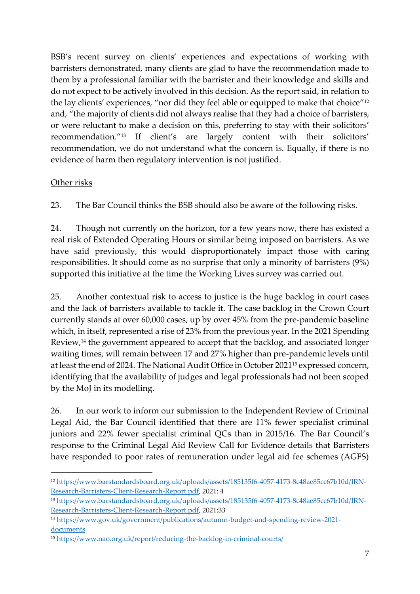BSB's recent survey on clients' experiences and expectations of working with barristers demonstrated, many clients are glad to have the recommendation made to them by a professional familiar with the barrister and their knowledge and skills and do not expect to be actively involved in this decision. As the report said, in relation to the lay clients' experiences, "nor did they feel able or equipped to make that choice"<sup>12</sup> and, "the majority of clients did not always realise that they had a choice of barristers, or were reluctant to make a decision on this, preferring to stay with their solicitors' recommendation."<sup>13</sup> If client's are largely content with their solicitors' recommendation, we do not understand what the concern is. Equally, if there is no evidence of harm then regulatory intervention is not justified.

#### Other risks

23. The Bar Council thinks the BSB should also be aware of the following risks.

24. Though not currently on the horizon, for a few years now, there has existed a real risk of Extended Operating Hours or similar being imposed on barristers. As we have said previously, this would disproportionately impact those with caring responsibilities. It should come as no surprise that only a minority of barristers (9%) supported this initiative at the time the Working Lives survey was carried out.

25. Another contextual risk to access to justice is the huge backlog in court cases and the lack of barristers available to tackle it. The case backlog in the Crown Court currently stands at over 60,000 cases, up by over 45% from the pre-pandemic baseline which, in itself, represented a rise of 23% from the previous year. In the 2021 Spending Review,<sup>14</sup> the government appeared to accept that the backlog, and associated longer waiting times, will remain between 17 and 27% higher than pre-pandemic levels until at least the end of 2024. The National Audit Office in October 2021<sup>15</sup> expressed concern, identifying that the availability of judges and legal professionals had not been scoped by the MoJ in its modelling.

26. In our work to inform our submission to the Independent Review of Criminal Legal Aid, the Bar Council identified that there are 11% fewer specialist criminal juniors and 22% fewer specialist criminal QCs than in 2015/16. The Bar Council's response to the Criminal Legal Aid Review Call for Evidence details that Barristers have responded to poor rates of remuneration under legal aid fee schemes (AGFS)

<sup>12</sup> [https://www.barstandardsboard.org.uk/uploads/assets/185135f6-4057-4173-8c48ae85cc67b10d/IRN-](https://www.barstandardsboard.org.uk/uploads/assets/185135f6-4057-4173-8c48ae85cc67b10d/IRN-Research-Barristers-Client-Research-Report.pdf)[Research-Barristers-Client-Research-Report.pdf,](https://www.barstandardsboard.org.uk/uploads/assets/185135f6-4057-4173-8c48ae85cc67b10d/IRN-Research-Barristers-Client-Research-Report.pdf) 2021: 4

<sup>13</sup> [https://www.barstandardsboard.org.uk/uploads/assets/185135f6-4057-4173-8c48ae85cc67b10d/IRN-](https://www.barstandardsboard.org.uk/uploads/assets/185135f6-4057-4173-8c48ae85cc67b10d/IRN-Research-Barristers-Client-Research-Report.pdf)[Research-Barristers-Client-Research-Report.pdf,](https://www.barstandardsboard.org.uk/uploads/assets/185135f6-4057-4173-8c48ae85cc67b10d/IRN-Research-Barristers-Client-Research-Report.pdf) 2021:33

<sup>14</sup> [https://www.gov.uk/government/publications/autumn-budget-and-spending-review-2021](https://www.gov.uk/government/publications/autumn-budget-and-spending-review-2021-documents) [documents](https://www.gov.uk/government/publications/autumn-budget-and-spending-review-2021-documents)

<sup>15</sup> <https://www.nao.org.uk/report/reducing-the-backlog-in-criminal-courts/>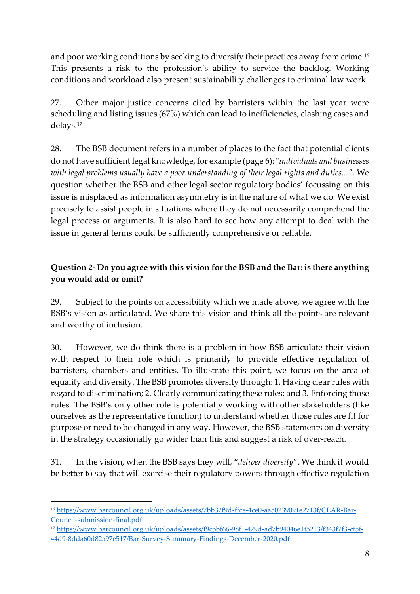and poor working conditions by seeking to diversify their practices away from crime.<sup>16</sup> This presents a risk to the profession's ability to service the backlog. Working conditions and workload also present sustainability challenges to criminal law work.

27. Other major justice concerns cited by barristers within the last year were scheduling and listing issues (67%) which can lead to inefficiencies, clashing cases and delays.<sup>17</sup>

28. The BSB document refers in a number of places to the fact that potential clients do not have sufficient legal knowledge, for example (page 6): "*individuals and businesses with legal problems usually have a poor understanding of their legal rights and duties..."*. We question whether the BSB and other legal sector regulatory bodies' focussing on this issue is misplaced as information asymmetry is in the nature of what we do. We exist precisely to assist people in situations where they do not necessarily comprehend the legal process or arguments. It is also hard to see how any attempt to deal with the issue in general terms could be sufficiently comprehensive or reliable.

# **Question 2- Do you agree with this vision for the BSB and the Bar: is there anything you would add or omit?**

29. Subject to the points on accessibility which we made above, we agree with the BSB's vision as articulated. We share this vision and think all the points are relevant and worthy of inclusion.

30. However, we do think there is a problem in how BSB articulate their vision with respect to their role which is primarily to provide effective regulation of barristers, chambers and entities. To illustrate this point, we focus on the area of equality and diversity. The BSB promotes diversity through: 1. Having clear rules with regard to discrimination; 2. Clearly communicating these rules; and 3. Enforcing those rules. The BSB's only other role is potentially working with other stakeholders (like ourselves as the representative function) to understand whether those rules are fit for purpose or need to be changed in any way. However, the BSB statements on diversity in the strategy occasionally go wider than this and suggest a risk of over-reach.

31. In the vision, when the BSB says they will, "*deliver diversity*". We think it would be better to say that will exercise their regulatory powers through effective regulation

<sup>17</sup> [https://www.barcouncil.org.uk/uploads/assets/f9c5bf66-98f1-429d-ad7b94046e1f5213/f343f7f3-cf5f-](https://www.barcouncil.org.uk/uploads/assets/f9c5bf66-98f1-429d-ad7b94046e1f5213/f343f7f3-cf5f-44d9-8dda60d82a97e517/Bar-Survey-Summary-Findings-December-2020.pdf)[44d9-8dda60d82a97e517/Bar-Survey-Summary-Findings-December-2020.pdf](https://www.barcouncil.org.uk/uploads/assets/f9c5bf66-98f1-429d-ad7b94046e1f5213/f343f7f3-cf5f-44d9-8dda60d82a97e517/Bar-Survey-Summary-Findings-December-2020.pdf)

<sup>16</sup> [https://www.barcouncil.org.uk/uploads/assets/7bb32f9d-ffce-4ce0-aa50239091e2713f/CLAR-Bar-](https://www.barcouncil.org.uk/uploads/assets/7bb32f9d-ffce-4ce0-aa50239091e2713f/CLAR-Bar-Council-submission-final.pdf)[Council-submission-final.pdf](https://www.barcouncil.org.uk/uploads/assets/7bb32f9d-ffce-4ce0-aa50239091e2713f/CLAR-Bar-Council-submission-final.pdf)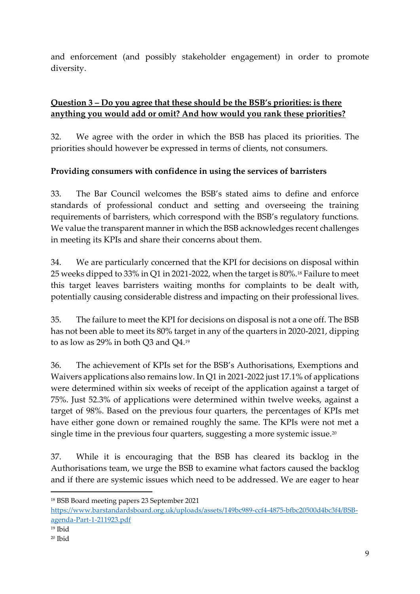and enforcement (and possibly stakeholder engagement) in order to promote diversity.

# **Question 3 – Do you agree that these should be the BSB's priorities: is there anything you would add or omit? And how would you rank these priorities?**

32. We agree with the order in which the BSB has placed its priorities. The priorities should however be expressed in terms of clients, not consumers.

# **Providing consumers with confidence in using the services of barristers**

33. The Bar Council welcomes the BSB's stated aims to define and enforce standards of professional conduct and setting and overseeing the training requirements of barristers, which correspond with the BSB's regulatory functions. We value the transparent manner in which the BSB acknowledges recent challenges in meeting its KPIs and share their concerns about them.

34. We are particularly concerned that the KPI for decisions on disposal within 25 weeks dipped to 33% in Q1 in 2021-2022, when the target is 80%.<sup>18</sup> Failure to meet this target leaves barristers waiting months for complaints to be dealt with, potentially causing considerable distress and impacting on their professional lives.

35. The failure to meet the KPI for decisions on disposal is not a one off. The BSB has not been able to meet its 80% target in any of the quarters in 2020-2021, dipping to as low as 29% in both Q3 and Q4.<sup>19</sup>

36. The achievement of KPIs set for the BSB's Authorisations, Exemptions and Waivers applications also remains low. In Q1 in 2021-2022 just 17.1% of applications were determined within six weeks of receipt of the application against a target of 75%. Just 52.3% of applications were determined within twelve weeks, against a target of 98%. Based on the previous four quarters, the percentages of KPIs met have either gone down or remained roughly the same. The KPIs were not met a single time in the previous four quarters, suggesting a more systemic issue.<sup>20</sup>

37. While it is encouraging that the BSB has cleared its backlog in the Authorisations team, we urge the BSB to examine what factors caused the backlog and if there are systemic issues which need to be addressed. We are eager to hear

<sup>18</sup> BSB Board meeting papers 23 September 2021

[https://www.barstandardsboard.org.uk/uploads/assets/149bc989-ccf4-4875-bfbc20500d4bc3f4/BSB](https://www.barstandardsboard.org.uk/uploads/assets/149bc989-ccf4-4875-bfbc20500d4bc3f4/BSB-agenda-Part-1-211923.pdf)[agenda-Part-1-211923.pdf](https://www.barstandardsboard.org.uk/uploads/assets/149bc989-ccf4-4875-bfbc20500d4bc3f4/BSB-agenda-Part-1-211923.pdf)

<sup>19</sup> Ibid

<sup>20</sup> Ibid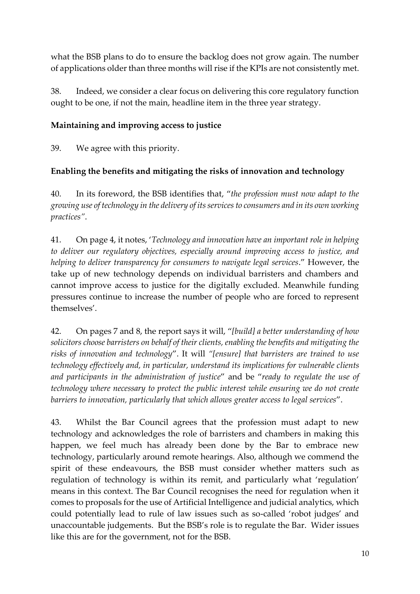what the BSB plans to do to ensure the backlog does not grow again. The number of applications older than three months will rise if the KPIs are not consistently met.

38. Indeed, we consider a clear focus on delivering this core regulatory function ought to be one, if not the main, headline item in the three year strategy.

## **Maintaining and improving access to justice**

39. We agree with this priority.

# **Enabling the benefits and mitigating the risks of innovation and technology**

40. In its foreword, the BSB identifies that, "*the profession must now adapt to the growing use of technology in the delivery of its services to consumers and in its own working practices"*.

41. On page 4, it notes, '*Technology and innovation have an important role in helping to deliver our regulatory objectives, especially around improving access to justice, and helping to deliver transparency for consumers to navigate legal services*." However, the take up of new technology depends on individual barristers and chambers and cannot improve access to justice for the digitally excluded. Meanwhile funding pressures continue to increase the number of people who are forced to represent themselves'.

42. On pages 7 and 8, the report says it will, "*[build] a better understanding of how solicitors choose barristers on behalf of their clients, enabling the benefits and mitigating the risks of innovation and technology*". It will *"[ensure] that barristers are trained to use technology effectively and, in particular, understand its implications for vulnerable clients and participants in the administration of justice*" and be "*ready to regulate the use of technology where necessary to protect the public interest while ensuring we do not create barriers to innovation, particularly that which allows greater access to legal services*".

43. Whilst the Bar Council agrees that the profession must adapt to new technology and acknowledges the role of barristers and chambers in making this happen, we feel much has already been done by the Bar to embrace new technology, particularly around remote hearings. Also, although we commend the spirit of these endeavours, the BSB must consider whether matters such as regulation of technology is within its remit, and particularly what 'regulation' means in this context. The Bar Council recognises the need for regulation when it comes to proposals for the use of Artificial Intelligence and judicial analytics, which could potentially lead to rule of law issues such as so-called 'robot judges' and unaccountable judgements. But the BSB's role is to regulate the Bar. Wider issues like this are for the government, not for the BSB.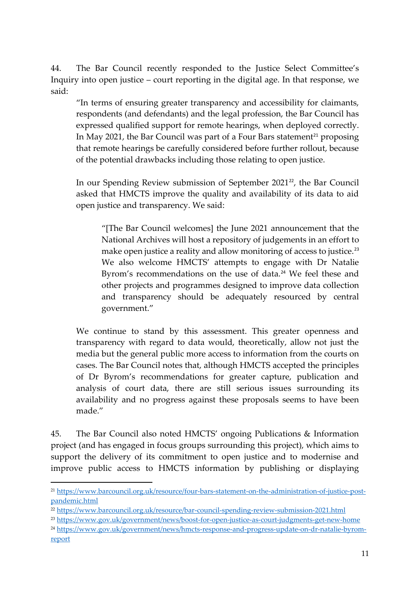44. The Bar Council recently responded to the Justice Select Committee's Inquiry into open justice – court reporting in the digital age. In that response, we said:

"In terms of ensuring greater transparency and accessibility for claimants, respondents (and defendants) and the legal profession, the Bar Council has expressed qualified support for remote hearings, when deployed correctly. In May 2021, the Bar Council was part of a Four Bars statement<sup>21</sup> proposing that remote hearings be carefully considered before further rollout, because of the potential drawbacks including those relating to open justice.

In our Spending Review submission of September 2021<sup>22</sup>, the Bar Council asked that HMCTS improve the quality and availability of its data to aid open justice and transparency. We said:

"[The Bar Council welcomes] the June 2021 announcement that the National Archives will host a repository of judgements in an effort to make open justice a reality and allow monitoring of access to justice.<sup>23</sup> We also welcome HMCTS' attempts to engage with Dr Natalie Byrom's recommendations on the use of data.<sup>24</sup> We feel these and other projects and programmes designed to improve data collection and transparency should be adequately resourced by central government."

We continue to stand by this assessment. This greater openness and transparency with regard to data would, theoretically, allow not just the media but the general public more access to information from the courts on cases. The Bar Council notes that, although HMCTS accepted the principles of Dr Byrom's recommendations for greater capture, publication and analysis of court data, there are still serious issues surrounding its availability and no progress against these proposals seems to have been made."

45. The Bar Council also noted HMCTS' ongoing Publications & Information project (and has engaged in focus groups surrounding this project), which aims to support the delivery of its commitment to open justice and to modernise and improve public access to HMCTS information by publishing or displaying

<sup>24</sup> [https://www.gov.uk/government/news/hmcts-response-and-progress-update-on-dr-natalie-byrom](https://www.gov.uk/government/news/hmcts-response-and-progress-update-on-dr-natalie-byrom-report)[report](https://www.gov.uk/government/news/hmcts-response-and-progress-update-on-dr-natalie-byrom-report)

<sup>21</sup> [https://www.barcouncil.org.uk/resource/four-bars-statement-on-the-administration-of-justice-post](https://www.barcouncil.org.uk/resource/four-bars-statement-on-the-administration-of-justice-post-pandemic.html)[pandemic.html](https://www.barcouncil.org.uk/resource/four-bars-statement-on-the-administration-of-justice-post-pandemic.html)

<sup>22</sup> <https://www.barcouncil.org.uk/resource/bar-council-spending-review-submission-2021.html>

<sup>23</sup> <https://www.gov.uk/government/news/boost-for-open-justice-as-court-judgments-get-new-home>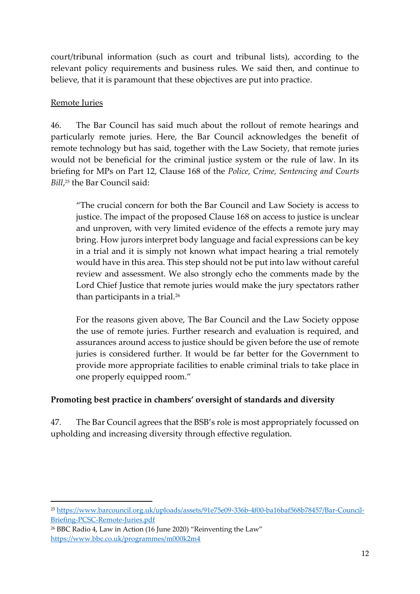court/tribunal information (such as court and tribunal lists), according to the relevant policy requirements and business rules. We said then, and continue to believe, that it is paramount that these objectives are put into practice.

#### Remote Juries

46. The Bar Council has said much about the rollout of remote hearings and particularly remote juries. Here, the Bar Council acknowledges the benefit of remote technology but has said, together with the Law Society, that remote juries would not be beneficial for the criminal justice system or the rule of law. In its briefing for MPs on Part 12, Clause 168 of the *Police, Crime, Sentencing and Courts Bill*, <sup>25</sup> the Bar Council said:

"The crucial concern for both the Bar Council and Law Society is access to justice. The impact of the proposed Clause 168 on access to justice is unclear and unproven, with very limited evidence of the effects a remote jury may bring. How jurors interpret body language and facial expressions can be key in a trial and it is simply not known what impact hearing a trial remotely would have in this area. This step should not be put into law without careful review and assessment. We also strongly echo the comments made by the Lord Chief Justice that remote juries would make the jury spectators rather than participants in a trial.<sup>26</sup>

For the reasons given above, The Bar Council and the Law Society oppose the use of remote juries. Further research and evaluation is required, and assurances around access to justice should be given before the use of remote juries is considered further. It would be far better for the Government to provide more appropriate facilities to enable criminal trials to take place in one properly equipped room."

## **Promoting best practice in chambers' oversight of standards and diversity**

47. The Bar Council agrees that the BSB's role is most appropriately focussed on upholding and increasing diversity through effective regulation.

<sup>25</sup> [https://www.barcouncil.org.uk/uploads/assets/91e75e09-336b-4f00-ba16baf568b78457/Bar-Council-](https://www.barcouncil.org.uk/uploads/assets/91e75e09-336b-4f00-ba16baf568b78457/Bar-Council-Briefing-PCSC-Remote-Juries.pdf)[Briefing-PCSC-Remote-Juries.pdf](https://www.barcouncil.org.uk/uploads/assets/91e75e09-336b-4f00-ba16baf568b78457/Bar-Council-Briefing-PCSC-Remote-Juries.pdf)

<sup>26</sup> BBC Radio 4, Law in Action (16 June 2020) "Reinventing the Law" <https://www.bbc.co.uk/programmes/m000k2m4>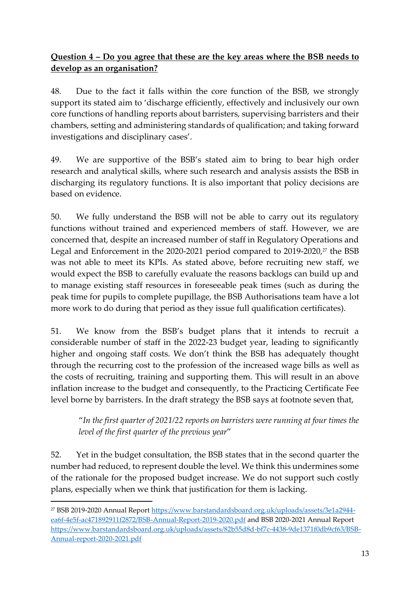## **Question 4 – Do you agree that these are the key areas where the BSB needs to develop as an organisation?**

48. Due to the fact it falls within the core function of the BSB, we strongly support its stated aim to 'discharge efficiently, effectively and inclusively our own core functions of handling reports about barristers, supervising barristers and their chambers, setting and administering standards of qualification; and taking forward investigations and disciplinary cases'.

49. We are supportive of the BSB's stated aim to bring to bear high order research and analytical skills, where such research and analysis assists the BSB in discharging its regulatory functions. It is also important that policy decisions are based on evidence.

50. We fully understand the BSB will not be able to carry out its regulatory functions without trained and experienced members of staff. However, we are concerned that, despite an increased number of staff in Regulatory Operations and Legal and Enforcement in the 2020-2021 period compared to 2019-2020, $27$  the BSB was not able to meet its KPIs. As stated above, before recruiting new staff, we would expect the BSB to carefully evaluate the reasons backlogs can build up and to manage existing staff resources in foreseeable peak times (such as during the peak time for pupils to complete pupillage, the BSB Authorisations team have a lot more work to do during that period as they issue full qualification certificates).

51. We know from the BSB's budget plans that it intends to recruit a considerable number of staff in the 2022-23 budget year, leading to significantly higher and ongoing staff costs. We don't think the BSB has adequately thought through the recurring cost to the profession of the increased wage bills as well as the costs of recruiting, training and supporting them. This will result in an above inflation increase to the budget and consequently, to the Practicing Certificate Fee level borne by barristers. In the draft strategy the BSB says at footnote seven that,

"*In the first quarter of 2021/22 reports on barristers were running at four times the level of the first quarter of the previous year*"

52. Yet in the budget consultation, the BSB states that in the second quarter the number had reduced, to represent double the level. We think this undermines some of the rationale for the proposed budget increase. We do not support such costly plans, especially when we think that justification for them is lacking.

<sup>27</sup> BSB 2019-2020 Annual Report [https://www.barstandardsboard.org.uk/uploads/assets/3e1a2944](https://www.barstandardsboard.org.uk/uploads/assets/3e1a2944-ea6f-4e5f-ac471892911f2872/BSB-Annual-Report-2019-2020.pdf) [ea6f-4e5f-ac471892911f2872/BSB-Annual-Report-2019-2020.pdf](https://www.barstandardsboard.org.uk/uploads/assets/3e1a2944-ea6f-4e5f-ac471892911f2872/BSB-Annual-Report-2019-2020.pdf) and BSB 2020-2021 Annual Report [https://www.barstandardsboard.org.uk/uploads/assets/82b55d8d-bf7c-4438-9de1371f0db9cf63/BSB-](https://www.barstandardsboard.org.uk/uploads/assets/82b55d8d-bf7c-4438-9de1371f0db9cf63/BSB-Annual-report-2020-2021.pdf)[Annual-report-2020-2021.pdf](https://www.barstandardsboard.org.uk/uploads/assets/82b55d8d-bf7c-4438-9de1371f0db9cf63/BSB-Annual-report-2020-2021.pdf)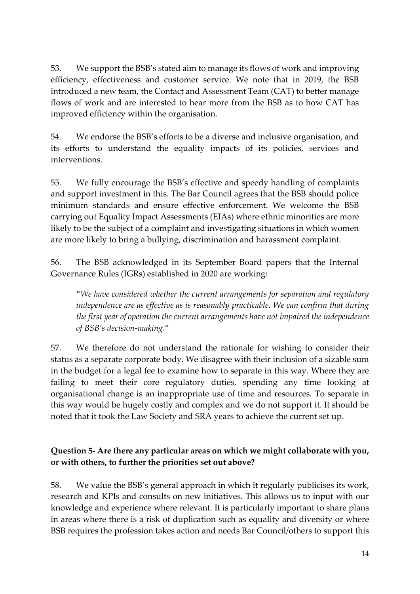53. We support the BSB's stated aim to manage its flows of work and improving efficiency, effectiveness and customer service. We note that in 2019, the BSB introduced a new team, the Contact and Assessment Team (CAT) to better manage flows of work and are interested to hear more from the BSB as to how CAT has improved efficiency within the organisation.

54. We endorse the BSB's efforts to be a diverse and inclusive organisation, and its efforts to understand the equality impacts of its policies, services and interventions.

55. We fully encourage the BSB's effective and speedy handling of complaints and support investment in this. The Bar Council agrees that the BSB should police minimum standards and ensure effective enforcement. We welcome the BSB carrying out Equality Impact Assessments (EIAs) where ethnic minorities are more likely to be the subject of a complaint and investigating situations in which women are more likely to bring a bullying, discrimination and harassment complaint.

56. The BSB acknowledged in its September Board papers that the Internal Governance Rules (IGRs) established in 2020 are working:

"*We have considered whether the current arrangements for separation and regulatory independence are as effective as is reasonably practicable. We can confirm that during the first year of operation the current arrangements have not impaired the independence of BSB's decision-making*."

57. We therefore do not understand the rationale for wishing to consider their status as a separate corporate body. We disagree with their inclusion of a sizable sum in the budget for a legal fee to examine how to separate in this way. Where they are failing to meet their core regulatory duties, spending any time looking at organisational change is an inappropriate use of time and resources. To separate in this way would be hugely costly and complex and we do not support it. It should be noted that it took the Law Society and SRA years to achieve the current set up.

#### **Question 5- Are there any particular areas on which we might collaborate with you, or with others, to further the priorities set out above?**

58. We value the BSB's general approach in which it regularly publicises its work, research and KPIs and consults on new initiatives. This allows us to input with our knowledge and experience where relevant. It is particularly important to share plans in areas where there is a risk of duplication such as equality and diversity or where BSB requires the profession takes action and needs Bar Council/others to support this